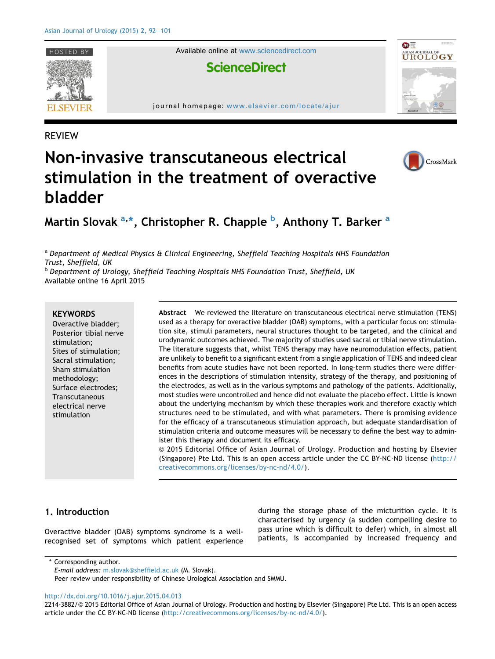

HOSTED BY Available online at [www.sciencedirect.com](www.sciencedirect.com/science/journal/22143882)

# **ScienceDirect**

journal homepage: <www.elsevier.com/locate/ajur>





# Non-invasive transcutaneous electrical stimulation in the treatment of overactive bladder



Martin Slovak <sup>a,\*</sup>, Christopher R. Chapple <sup>b</sup>, Anthony T. Barker <sup>a</sup>

<sup>a</sup> Department of Medical Physics & Clinical Engineering, Sheffield Teaching Hospitals NHS Foundation Trust, Sheffield, UK **b** Department of Urology, Sheffield Teaching Hospitals NHS Foundation Trust, Sheffield, UK

Available online 16 April 2015

#### **KEYWORDS**

Overactive bladder; Posterior tibial nerve stimulation; Sites of stimulation; Sacral stimulation; Sham stimulation methodology; Surface electrodes; Transcutaneous electrical nerve stimulation

Abstract We reviewed the literature on transcutaneous electrical nerve stimulation (TENS) used as a therapy for overactive bladder (OAB) symptoms, with a particular focus on: stimulation site, stimuli parameters, neural structures thought to be targeted, and the clinical and urodynamic outcomes achieved. The majority of studies used sacral or tibial nerve stimulation. The literature suggests that, whilst TENS therapy may have neuromodulation effects, patient are unlikely to benefit to a significant extent from a single application of TENS and indeed clear benefits from acute studies have not been reported. In long-term studies there were differences in the descriptions of stimulation intensity, strategy of the therapy, and positioning of the electrodes, as well as in the various symptoms and pathology of the patients. Additionally, most studies were uncontrolled and hence did not evaluate the placebo effect. Little is known about the underlying mechanism by which these therapies work and therefore exactly which structures need to be stimulated, and with what parameters. There is promising evidence for the efficacy of a transcutaneous stimulation approach, but adequate standardisation of stimulation criteria and outcome measures will be necessary to define the best way to administer this therapy and document its efficacy.

ª 2015 Editorial Office of Asian Journal of Urology. Production and hosting by Elsevier (Singapore) Pte Ltd. This is an open access article under the CC BY-NC-ND license [\(http://](http://creativecommons.org/licenses/by-nc-nd/4.�0/) [creativecommons.org/licenses/by-nc-nd/4.0/](http://creativecommons.org/licenses/by-nc-nd/4.�0/)).

# 1. Introduction

Overactive bladder (OAB) symptoms syndrome is a wellrecognised set of symptoms which patient experience during the storage phase of the micturition cycle. It is characterised by urgency (a sudden compelling desire to pass urine which is difficult to defer) which, in almost all patients, is accompanied by increased frequency and

\* Corresponding author.

Peer review under responsibility of Chinese Urological Association and SMMU.

<http://dx.doi.org/10.1016/j.ajur.2015.04.013>

E-mail address: [m.slovak@sheffield.ac.uk](mailto:m.slovak@sheffield.ac.uk) (M. Slovak).

<sup>2214-3882/© 2015</sup> Editorial Office of Asian Journal of Urology. Production and hosting by Elsevier (Singapore) Pte Ltd. This is an open access article under the CC BY-NC-ND license [\(http://creativecommons.org/licenses/by-nc-nd/4.0/](http://creativecommons.org/licenses/by-nc-nd/4.�0/)).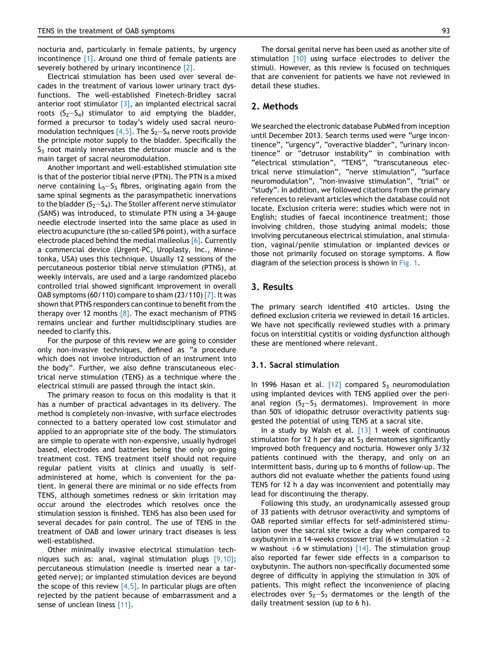nocturia and, particularly in female patients, by urgency incontinence [\[1\]](#page-7-0). Around one third of female patients are severely bothered by urinary incontinence [\[2\].](#page-8-0)

Electrical stimulation has been used over several decades in the treatment of various lower urinary tract dysfunctions. The well-established Finetech-Bridley sacral anterior root stimulator [\[3\]](#page-8-0), an implanted electrical sacral roots  $(S_2-S_4)$  stimulator to aid emptying the bladder, formed a precursor to today's widely used sacral neuro-modulation techniques [\[4,5\].](#page-8-0) The  $S_2-S_4$  nerve roots provide the principle motor supply to the bladder. Specifically the  $S_3$  root mainly innervates the detrusor muscle and is the main target of sacral neuromodulation.

Another important and well-established stimulation site is that of the posterior tibial nerve (PTN). The PTN is a mixed nerve containing  $L_5-S_3$  fibres, originating again from the same spinal segments as the parasympathetic innervations to the bladder  $(S_2-S_4)$ . The Stoller afferent nerve stimulator (SANS) was introduced, to stimulate PTN using a 34-gauge needle electrode inserted into the same place as used in electro acupuncture (the so-called SP6 point), with a surface electrode placed behind the medial malleolus [\[6\]](#page-8-0). Currently a commercial device (Urgent-PC, Uroplasty, Inc., Minnetonka, USA) uses this technique. Usually 12 sessions of the percutaneous posterior tibial nerve stimulation (PTNS), at weekly intervals, are used and a large randomized placebo controlled trial showed significant improvement in overall OAB symptoms (60/110) compare to sham (23/110)  $[7]$ . It was shown that PTNS responders can continue to benefit from the therapy over 12 months  $[8]$ . The exact mechanism of PTNS remains unclear and further multidisciplinary studies are needed to clarify this.

For the purpose of this review we are going to consider only non-invasive techniques, defined as "a procedure which does not involve introduction of an instrument into the body". Further, we also define transcutaneous electrical nerve stimulation (TENS) as a technique where the electrical stimuli are passed through the intact skin.

The primary reason to focus on this modality is that it has a number of practical advantages in its delivery. The method is completely non-invasive, with surface electrodes connected to a battery operated low cost stimulator and applied to an appropriate site of the body. The stimulators are simple to operate with non-expensive, usually hydrogel based, electrodes and batteries being the only on-going treatment cost. TENS treatment itself should not require regular patient visits at clinics and usually is selfadministered at home, which is convenient for the patient. In general there are minimal or no side effects from TENS, although sometimes redness or skin irritation may occur around the electrodes which resolves once the stimulation session is finished. TENS has also been used for several decades for pain control. The use of TENS in the treatment of OAB and lower urinary tract diseases is less well-established.

Other minimally invasive electrical stimulation techniques such as: anal, vaginal stimulation plugs [\[9,10\]](#page-8-0); percutaneous stimulation (needle is inserted near a targeted nerve); or implanted stimulation devices are beyond the scope of this review  $[4,5]$ . In particular plugs are often rejected by the patient because of embarrassment and a sense of unclean liness [\[11\]](#page-8-0).

The dorsal genital nerve has been used as another site of stimulation [\[10\]](#page-8-0) using surface electrodes to deliver the stimuli. However, as this review is focused on techniques that are convenient for patients we have not reviewed in detail these studies.

# 2. Methods

We searched the electronic database PubMed from inception until December 2013. Search terms used were "urge incontinence", "urgency", "overactive bladder", "urinary incontinence" or "detrusor instability" in combination with "electrical stimulation", "TENS", "transcutaneous electrical nerve stimulation", "nerve stimulation", "surface neuromodulation", "non-invasive stimulation", "trial" or "study". In addition, we followed citations from the primary references to relevant articles which the database could not locate. Exclusion criteria were: studies which were not in English; studies of faecal incontinence treatment; those involving children, those studying animal models; those involving percutaneous electrical stimulation, anal stimulation, vaginal/penile stimulation or implanted devices or those not primarily focused on storage symptoms. A flow diagram of the selection process is shown in [Fig. 1.](#page-2-0)

## 3. Results

The primary search identified 410 articles. Using the defined exclusion criteria we reviewed in detail 16 articles. We have not specifically reviewed studies with a primary focus on interstitial cystitis or voiding dysfunction although these are mentioned where relevant.

#### 3.1. Sacral stimulation

In 1996 Hasan et al.  $[12]$  compared S<sub>3</sub> neuromodulation using implanted devices with TENS applied over the perianal region  $(S_2-S_3$  dermatomes). Improvement in more than 50% of idiopathic detrusor overactivity patients suggested the potential of using TENS at a sacral site.

In a study by Walsh et al.  $[13]$  1 week of continuous stimulation for 12 h per day at  $S_3$  dermatomes significantly improved both frequency and nocturia. However only 3/32 patients continued with the therapy, and only on an intermittent basis, during up to 6 months of follow-up. The authors did not evaluate whether the patients found using TENS for 12 h a day was inconvenient and potentially may lead for discontinuing the therapy.

Following this study, an urodynamically assessed group of 33 patients with detrusor overactivity and symptoms of OAB reported similar effects for self-administered stimulation over the sacral site twice a day when compared to oxybutynin in a 14-weeks crossover trial (6 w stimulation  $+2$ w washout  $+6$  w stimulation) [\[14\].](#page-8-0) The stimulation group also reported far fewer side effects in a comparison to oxybutynin. The authors non-specifically documented some degree of difficulty in applying the stimulation in 30% of patients. This might reflect the inconvenience of placing electrodes over  $S_2-S_3$  dermatomes or the length of the daily treatment session (up to 6 h).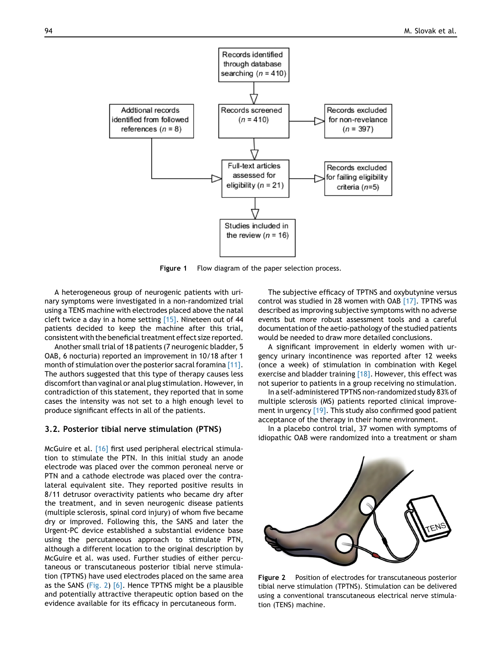<span id="page-2-0"></span>

Figure 1 Flow diagram of the paper selection process.

A heterogeneous group of neurogenic patients with urinary symptoms were investigated in a non-randomized trial using a TENS machine with electrodes placed above the natal cleft twice a day in a home setting  $[15]$ . Nineteen out of 44 patients decided to keep the machine after this trial, consistent with the beneficial treatment effect size reported.

Another small trial of 18 patients (7 neurogenic bladder, 5 OAB, 6 nocturia) reported an improvement in 10/18 after 1 month of stimulation over the posterior sacral foramina [\[11\].](#page-8-0) The authors suggested that this type of therapy causes less discomfort than vaginal or anal plug stimulation. However, in contradiction of this statement, they reported that in some cases the intensity was not set to a high enough level to produce significant effects in all of the patients.

#### 3.2. Posterior tibial nerve stimulation (PTNS)

McGuire et al. [\[16\]](#page-8-0) first used peripheral electrical stimulation to stimulate the PTN. In this initial study an anode electrode was placed over the common peroneal nerve or PTN and a cathode electrode was placed over the contralateral equivalent site. They reported positive results in 8/11 detrusor overactivity patients who became dry after the treatment, and in seven neurogenic disease patients (multiple sclerosis, spinal cord injury) of whom five became dry or improved. Following this, the SANS and later the Urgent-PC device established a substantial evidence base using the percutaneous approach to stimulate PTN, although a different location to the original description by McGuire et al. was used. Further studies of either percutaneous or transcutaneous posterior tibial nerve stimulation (TPTNS) have used electrodes placed on the same area as the SANS (Fig. 2)  $[6]$ . Hence TPTNS might be a plausible and potentially attractive therapeutic option based on the evidence available for its efficacy in percutaneous form.

The subjective efficacy of TPTNS and oxybutynine versus control was studied in 28 women with OAB [\[17\].](#page-8-0) TPTNS was described as improving subjective symptoms with no adverse events but more robust assessment tools and a careful documentation of the aetio-pathology of the studied patients would be needed to draw more detailed conclusions.

A significant improvement in elderly women with urgency urinary incontinence was reported after 12 weeks (once a week) of stimulation in combination with Kegel exercise and bladder training  $[18]$ . However, this effect was not superior to patients in a group receiving no stimulation.

In a self-administered TPTNS non-randomized study 83% of multiple sclerosis (MS) patients reported clinical improvement in urgency [\[19\]](#page-8-0). This study also confirmed good patient acceptance of the therapy in their home environment.

In a placebo control trial, 37 women with symptoms of idiopathic OAB were randomized into a treatment or sham



Figure 2 Position of electrodes for transcutaneous posterior tibial nerve stimulation (TPTNS). Stimulation can be delivered using a conventional transcutaneous electrical nerve stimulation (TENS) machine.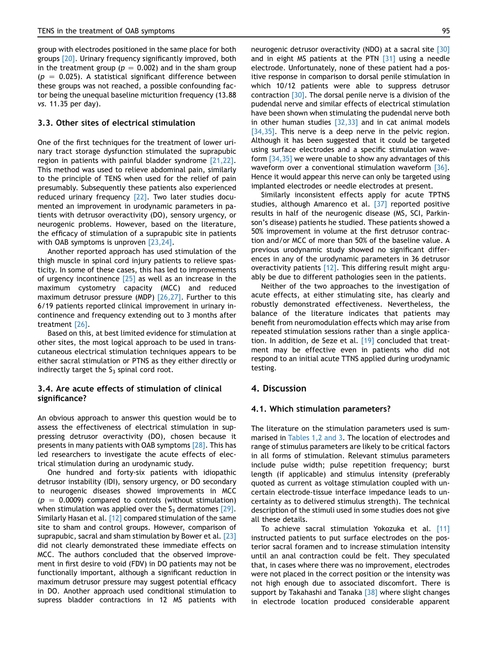group with electrodes positioned in the same place for both groups [\[20\]](#page-8-0). Urinary frequency significantly improved, both in the treatment group ( $p = 0.002$ ) and in the sham group  $(p = 0.025)$ . A statistical significant difference between these groups was not reached, a possible confounding factor being the unequal baseline micturition frequency (13.88 vs. 11.35 per day).

#### 3.3. Other sites of electrical stimulation

One of the first techniques for the treatment of lower urinary tract storage dysfunction stimulated the suprapubic region in patients with painful bladder syndrome [\[21,22\]](#page-8-0). This method was used to relieve abdominal pain, similarly to the principle of TENS when used for the relief of pain presumably. Subsequently these patients also experienced reduced urinary frequency [\[22\].](#page-8-0) Two later studies documented an improvement in urodynamic parameters in patients with detrusor overactivity (DO), sensory urgency, or neurogenic problems. However, based on the literature, the efficacy of stimulation of a suprapubic site in patients with OAB symptoms is unproven [\[23,24\].](#page-8-0)

Another reported approach has used stimulation of the thigh muscle in spinal cord injury patients to relieve spasticity. In some of these cases, this has led to improvements of urgency incontinence [\[25\]](#page-8-0) as well as an increase in the maximum cystometry capacity (MCC) and reduced maximum detrusor pressure (MDP) [\[26,27\].](#page-8-0) Further to this 6/19 patients reported clinical improvement in urinary incontinence and frequency extending out to 3 months after treatment [\[26\]](#page-8-0).

Based on this, at best limited evidence for stimulation at other sites, the most logical approach to be used in transcutaneous electrical stimulation techniques appears to be either sacral stimulation or PTNS as they either directly or indirectly target the  $S_3$  spinal cord root.

#### 3.4. Are acute effects of stimulation of clinical significance?

An obvious approach to answer this question would be to assess the effectiveness of electrical stimulation in suppressing detrusor overactivity (DO), chosen because it presents in many patients with OAB symptoms [\[28\]](#page-8-0). This has led researchers to investigate the acute effects of electrical stimulation during an urodynamic study.

One hundred and forty-six patients with idiopathic detrusor instability (IDI), sensory urgency, or DO secondary to neurogenic diseases showed improvements in MCC  $(p = 0.0009)$  compared to controls (without stimulation) when stimulation was applied over the  $S_3$  dermatomes  $[29]$ . Similarly Hasan et al. [\[12\]](#page-8-0) compared stimulation of the same site to sham and control groups. However, comparison of suprapubic, sacral and sham stimulation by Bower et al. [\[23\]](#page-8-0) did not clearly demonstrated these immediate effects on MCC. The authors concluded that the observed improvement in first desire to void (FDV) in DO patients may not be functionally important, although a significant reduction in maximum detrusor pressure may suggest potential efficacy in DO. Another approach used conditional stimulation to supress bladder contractions in 12 MS patients with neurogenic detrusor overactivity (NDO) at a sacral site [\[30\]](#page-8-0) and in eight MS patients at the PTN [\[31\]](#page-8-0) using a needle electrode. Unfortunately, none of these patient had a positive response in comparison to dorsal penile stimulation in which 10/12 patients were able to suppress detrusor contraction [\[30\].](#page-8-0) The dorsal penile nerve is a division of the pudendal nerve and similar effects of electrical stimulation have been shown when stimulating the pudendal nerve both in other human studies  $\left[32,33\right]$  and in cat animal models [\[34,35\].](#page-8-0) This nerve is a deep nerve in the pelvic region. Although it has been suggested that it could be targeted using surface electrodes and a specific stimulation waveform [\[34,35\]](#page-8-0) we were unable to show any advantages of this waveform over a conventional stimulation waveform [\[36\]](#page-8-0). Hence it would appear this nerve can only be targeted using implanted electrodes or needle electrodes at present.

Similarly inconsistent effects apply for acute TPTNS studies, although Amarenco et al. [\[37\]](#page-8-0) reported positive results in half of the neurogenic disease (MS, SCI, Parkinson's disease) patients he studied. These patients showed a 50% improvement in volume at the first detrusor contraction and/or MCC of more than 50% of the baseline value. A previous urodynamic study showed no significant differences in any of the urodynamic parameters in 36 detrusor overactivity patients [\[12\]](#page-8-0). This differing result might arguably be due to different pathologies seen in the patients.

Neither of the two approaches to the investigation of acute effects, at either stimulating site, has clearly and robustly demonstrated effectiveness. Nevertheless, the balance of the literature indicates that patients may benefit from neuromodulation effects which may arise from repeated stimulation sessions rather than a single application. In addition, de Seze et al. [\[19\]](#page-8-0) concluded that treatment may be effective even in patients who did not respond to an initial acute TTNS applied during urodynamic testing.

## 4. Discussion

#### 4.1. Which stimulation parameters?

The literature on the stimulation parameters used is summarised in [Tables 1,2 and 3](#page-4-0). The location of electrodes and range of stimulus parameters are likely to be critical factors in all forms of stimulation. Relevant stimulus parameters include pulse width; pulse repetition frequency; burst length (if applicable) and stimulus intensity (preferably quoted as current as voltage stimulation coupled with uncertain electrode-tissue interface impedance leads to uncertainty as to delivered stimulus strength). The technical description of the stimuli used in some studies does not give all these details.

To achieve sacral stimulation Yokozuka et al. [\[11\]](#page-8-0) instructed patients to put surface electrodes on the posterior sacral foramen and to increase stimulation intensity until an anal contraction could be felt. They speculated that, in cases where there was no improvement, electrodes were not placed in the correct position or the intensity was not high enough due to associated discomfort. There is support by Takahashi and Tanaka [\[38\]](#page-8-0) where slight changes in electrode location produced considerable apparent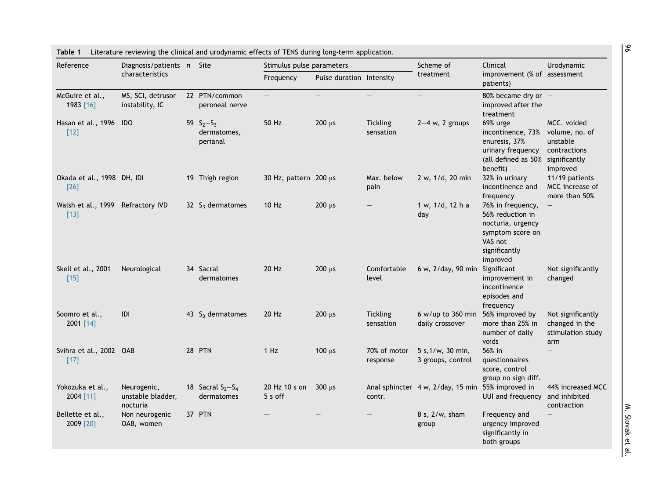| Reference                                   | Diagnosis/patients n Site<br>characteristics |                                         | Stimulus pulse parameters |                          |                              | Scheme of                                         | Clinical                                                                                                               | Urodynamic                                                                             |
|---------------------------------------------|----------------------------------------------|-----------------------------------------|---------------------------|--------------------------|------------------------------|---------------------------------------------------|------------------------------------------------------------------------------------------------------------------------|----------------------------------------------------------------------------------------|
|                                             |                                              |                                         | Frequency                 | Pulse duration Intensity |                              | treatment                                         | improvement (% of assessment<br>patients)                                                                              |                                                                                        |
| McGuire et al.,<br>1983 [16]                | MS, SCI, detrusor<br>instability, IC         | 22 PTN/common<br>peroneal nerve         |                           |                          |                              |                                                   | 80% became dry or $-$<br>improved after the<br>treatment                                                               |                                                                                        |
| Hasan et al., 1996 IDO<br>$[12]$            |                                              | 59 $S_2-S_3$<br>dermatomes,<br>perianal | 50 Hz                     | $200 \mu s$              | Tickling<br>sensation        | $2-4$ w, 2 groups                                 | 69% urge<br>incontinence, 73%<br>enuresis, 37%<br>urinary frequency<br>(all defined as 50%<br>benefit)                 | MCC. voided<br>volume, no. of<br>unstable<br>contractions<br>significantly<br>improved |
| Okada et al., 1998 DH, IDI<br>[26]          |                                              | 19 Thigh region                         | 30 Hz, pattern 200 µs     |                          | Max. below<br>pain           | 2 w, 1/d, 20 min                                  | 32% in urinary<br>incontinence and<br>frequency                                                                        | 11/19 patients<br>MCC increase of<br>more than 50%                                     |
| Walsh et al., 1999 Refractory IVD<br>$[13]$ |                                              | 32 $S_3$ dermatomes                     | 10 Hz                     | $200 \mu s$              |                              | 1 w, 1/d, 12 h a<br>day                           | 76% in frequency,<br>56% reduction in<br>nocturia, urgency<br>symptom score on<br>VAS not<br>significantly<br>improved |                                                                                        |
| Skeil et al., 2001<br>$[15]$                | Neurological                                 | 34 Sacral<br>dermatomes                 | 20 Hz                     | $200 \mu s$              | Comfortable<br>level         | 6 w, 2/day, 90 min                                | Significant<br>improvement in<br>incontinence<br>episodes and<br>frequency                                             | Not significantly<br>changed                                                           |
| Soomro et al.,<br>2001 [14]                 | IDI                                          | 43 $S_3$ dermatomes                     | 20 Hz                     | $200 \mu s$              | <b>Tickling</b><br>sensation | $6 w-up to 360 min$<br>daily crossover            | 56% improved by<br>more than 25% in<br>number of daily<br>voids                                                        | Not significantly<br>changed in the<br>stimulation study<br>arm                        |
| Svihra et al., 2002 OAB<br>$[17]$           |                                              | 28 PTN                                  | 1 Hz                      | $100 \mu s$              | 70% of motor<br>response     | 5 s, 1/w, 30 min,<br>3 groups, control            | 56% in<br>questionnaires<br>score, control<br>group no sign diff.                                                      | $\overline{\phantom{0}}$                                                               |
| Yokozuka et al.,<br>2004 [11]               | Neurogenic,<br>unstable bladder,<br>nocturia | 18 Sacral $S_2-S_4$<br>dermatomes       | 20 Hz 10 s on<br>5 s off  | $300 \mu s$              | contr.                       | Anal sphincter 4 w, 2/day, 15 min 55% improved in | UUI and frequency                                                                                                      | 44% increased MCC<br>and inhibited<br>contraction                                      |
| Bellette et al.,<br>2009 [20]               | Non neurogenic<br>OAB, women                 | 37 PTN                                  |                           |                          |                              | 8 s, 2/w, sham<br>group                           | Frequency and<br>urgency improved<br>significantly in<br>both groups                                                   |                                                                                        |

<span id="page-4-0"></span>Table 1 Literature reviewing the clinical and urodynamic effects of TENS during long-term application.

M. Slovak et al.

M. Slovak et al.

 $|8$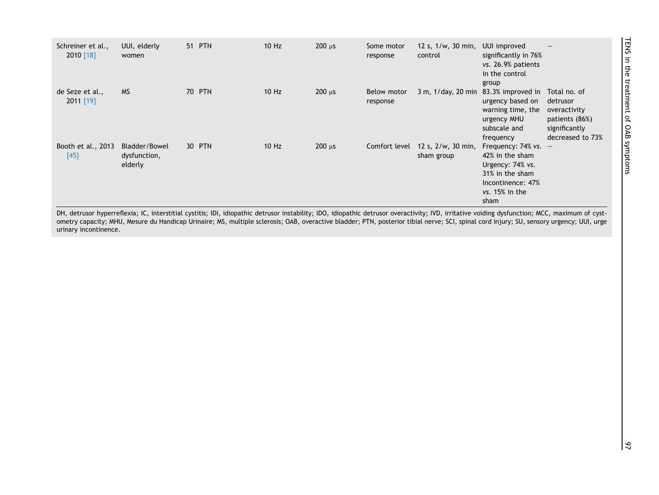| Schreiner et al.,<br>$2010$ [18] | UUI, elderly<br>women                    | <b>51 PTN</b> | $10$ Hz | $200 \mu s$         | Some motor<br>response  | 12 s, $1/w$ , $30 \text{ min}$ ,<br>control | UUI improved<br>significantly in 76%<br>vs. 26.9% patients<br>in the control<br>group                                         |                                                                                                 |
|----------------------------------|------------------------------------------|---------------|---------|---------------------|-------------------------|---------------------------------------------|-------------------------------------------------------------------------------------------------------------------------------|-------------------------------------------------------------------------------------------------|
| de Seze et al.,<br>$2011$ [19]   | <b>MS</b>                                | 70 PTN        | $10$ Hz | $200 \mu s$         | Below motor<br>response | 3 m, 1/day, 20 min                          | 83.3% improved in<br>urgency based on<br>warning time, the<br>urgency MHU<br>subscale and<br>frequency                        | Total no. of<br>detrusor<br>overactivity<br>patients (86%)<br>significantly<br>decreased to 73% |
| Booth et al., 2013<br>$[45]$     | Bladder/Bowel<br>dysfunction,<br>elderly | 30 PTN        | $10$ Hz | $200 \text{ }\mu s$ | Comfort level           | 12 s, $2/w$ , $30$ min,<br>sham group       | Frequency: 74% vs.<br>42% in the sham<br>Urgency: 74% vs.<br>31% in the sham<br>Incontinence: 47%<br>$vs. 15%$ in the<br>sham | $\overline{\phantom{m}}$                                                                        |

DH, detrusor hyperreflexia; IC, interstitial cystitis; IDI, idiopathic detrusor instability; IDO, idiopathic detrusor overactivity; IVD, irritative voiding dysfunction; MCC, maximum of cystometry capacity; MHU, Mesure du Handicap Urinaire; MS, multiple sclerosis; OAB, overactive bladder; PTN, posterior tibial nerve; SCI, spinal cord injury; SU, sensory urgency; UUI, urge urinary incontinence.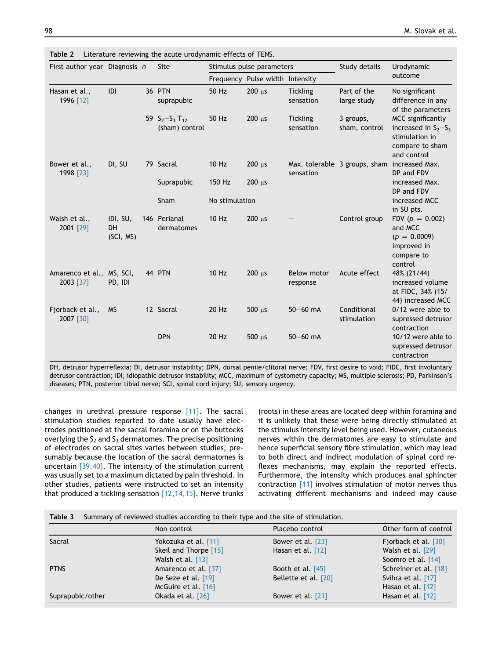| First author year Diagnosis n          |                                    |  | Site                                           | Stimulus pulse parameters |                                 |                              | Study details                                | Urodynamic                                                                                      |
|----------------------------------------|------------------------------------|--|------------------------------------------------|---------------------------|---------------------------------|------------------------------|----------------------------------------------|-------------------------------------------------------------------------------------------------|
|                                        |                                    |  |                                                |                           | Frequency Pulse width Intensity |                              |                                              | outcome                                                                                         |
| Hasan et al.,<br>1996 [12]             | IDI                                |  | <b>36 PTN</b><br>suprapubic                    | 50 Hz                     | $200 \mu s$                     | <b>Tickling</b><br>sensation | Part of the<br>large study                   | No significant<br>difference in any<br>of the parameters                                        |
|                                        |                                    |  | 59 $S_2-S_3$ T <sub>12</sub><br>(sham) control | 50 Hz                     | $200 \mu s$                     | <b>Tickling</b><br>sensation | 3 groups,<br>sham, control                   | MCC significantly<br>increased in $S_2-S_3$<br>stimulation in<br>compare to sham<br>and control |
| Bower et al.,<br>1998 [23]             | DI, SU                             |  | 79 Sacral<br>Suprapubic                        | 10 Hz<br>150 Hz           | $200 \mu s$<br>$200 \mu s$      | sensation                    | Max. tolerable 3 groups, sham increased Max. | DP and FDV<br>increased Max.                                                                    |
|                                        |                                    |  |                                                |                           |                                 |                              |                                              | DP and FDV                                                                                      |
|                                        |                                    |  | Sham                                           | No stimulation            |                                 |                              |                                              | increased MCC<br>in SU pts.                                                                     |
| Walsh et al.,<br>2001 [29]             | IDI, SU,<br><b>DH</b><br>(SCI, MS) |  | 146 Perianal<br>dermatomes                     | 10 Hz                     | $200 \mu s$                     |                              | Control group                                | FDV ( $p = 0.002$ )<br>and MCC<br>$(p = 0.0009)$<br>improved in<br>compare to<br>control        |
| Amarenco et al., MS, SCI,<br>2003 [37] | PD, IDI                            |  | 44 PTN                                         | 10 Hz                     | $200 \mu s$                     | Below motor<br>response      | Acute effect                                 | 48% (21/44)<br>increased volume<br>at FIDC, 34% (15/<br>44) increased MCC                       |
| Fjorback et al.,<br>2007 [30]          | <b>MS</b>                          |  | 12 Sacral                                      | 20 Hz                     | 500 µs                          | $50 - 60$ mA                 | Conditional<br>stimulation                   | $0/12$ were able to<br>supressed detrusor<br>contraction                                        |
|                                        |                                    |  | <b>DPN</b>                                     | 20 Hz                     | $500 \mu s$                     | $50 - 60$ mA                 |                                              | 10/12 were able to<br>supressed detrusor<br>contraction                                         |

DH, detrusor hyperreflexia; DI, detrusor instability; DPN, dorsal penile/clitoral nerve; FDV, first desire to void; FIDC, first involuntary detrusor contraction; IDI, idiopathic detrusor instability; MCC, maximum of cystometry capacity; MS, multiple sclerosis; PD, Parkinson's diseases; PTN, posterior tibial nerve; SCI, spinal cord injury; SU, sensory urgency.

changes in urethral pressure response [\[11\].](#page-8-0) The sacral stimulation studies reported to date usually have electrodes positioned at the sacral foramina or on the buttocks overlying the  $S_2$  and  $S_3$  dermatomes. The precise positioning of electrodes on sacral sites varies between studies, presumably because the location of the sacral dermatomes is uncertain [\[39,40\].](#page-8-0) The intensity of the stimulation current was usually set to a maximum dictated by pain threshold. In other studies, patients were instructed to set an intensity that produced a tickling sensation [\[12,14,15\].](#page-8-0) Nerve trunks

(roots) in these areas are located deep within foramina and it is unlikely that these were being directly stimulated at the stimulus intensity level being used. However, cutaneous nerves within the dermatomes are easy to stimulate and hence superficial sensory fibre stimulation, which may lead to both direct and indirect modulation of spinal cord reflexes mechanisms, may explain the reported effects. Furthermore, the intensity which produces anal sphincter contraction [\[11\]](#page-8-0) involves stimulation of motor nerves thus activating different mechanisms and indeed may cause

| Table 3          | Summary of reviewed studies according to their type and the site of stimulation. |                      |                       |  |  |  |  |
|------------------|----------------------------------------------------------------------------------|----------------------|-----------------------|--|--|--|--|
|                  | Non control                                                                      | Placebo control      | Other form of control |  |  |  |  |
| Sacral           | Yokozuka et al. [11]                                                             | Bower et al. [23]    | Fjorback et al. [30]  |  |  |  |  |
|                  | Skeil and Thorpe [15]                                                            | Hasan et al. [12]    | Walsh et al. [29]     |  |  |  |  |
|                  | Walsh et al. [13]                                                                |                      | Soomro et al. [14]    |  |  |  |  |
| <b>PTNS</b>      | Amarenco et al. [37]                                                             | Booth et al. [45]    | Schreiner et al. [18] |  |  |  |  |
|                  | De Seze et al. [19]                                                              | Bellette et al. [20] | Svihra et al. [17]    |  |  |  |  |
|                  | McGuire et al. [16]                                                              |                      | Hasan et al. [12]     |  |  |  |  |
| Suprapubic/other | Okada et al. [26]                                                                | Bower et al. [23]    | Hasan et al. [12]     |  |  |  |  |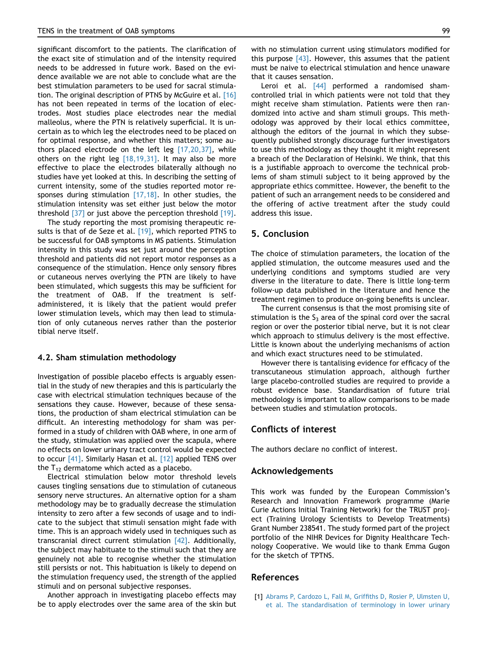<span id="page-7-0"></span>significant discomfort to the patients. The clarification of the exact site of stimulation and of the intensity required needs to be addressed in future work. Based on the evidence available we are not able to conclude what are the best stimulation parameters to be used for sacral stimula-tion. The original description of PTNS by McGuire et al. [\[16\]](#page-8-0) has not been repeated in terms of the location of electrodes. Most studies place electrodes near the medial malleolus, where the PTN is relatively superficial. It is uncertain as to which leg the electrodes need to be placed on for optimal response, and whether this matters; some authors placed electrode on the left leg  $[17,20,37]$ , while others on the right leg [\[18,19,31\].](#page-8-0) It may also be more effective to place the electrodes bilaterally although no studies have yet looked at this. In describing the setting of current intensity, some of the studies reported motor responses during stimulation [\[17,18\].](#page-8-0) In other studies, the stimulation intensity was set either just below the motor threshold [\[37\]](#page-8-0) or just above the perception threshold [\[19\]](#page-8-0).

The study reporting the most promising therapeutic re-sults is that of de Seze et al. [\[19\],](#page-8-0) which reported PTNS to be successful for OAB symptoms in MS patients. Stimulation intensity in this study was set just around the perception threshold and patients did not report motor responses as a consequence of the stimulation. Hence only sensory fibres or cutaneous nerves overlying the PTN are likely to have been stimulated, which suggests this may be sufficient for the treatment of OAB. If the treatment is selfadministered, it is likely that the patient would prefer lower stimulation levels, which may then lead to stimulation of only cutaneous nerves rather than the posterior tibial nerve itself.

#### 4.2. Sham stimulation methodology

Investigation of possible placebo effects is arguably essential in the study of new therapies and this is particularly the case with electrical stimulation techniques because of the sensations they cause. However, because of these sensations, the production of sham electrical stimulation can be difficult. An interesting methodology for sham was performed in a study of children with OAB where, in one arm of the study, stimulation was applied over the scapula, where no effects on lower urinary tract control would be expected to occur [\[41\]](#page-9-0). Similarly Hasan et al. [\[12\]](#page-8-0) applied TENS over the  $T_{12}$  dermatome which acted as a placebo.

Electrical stimulation below motor threshold levels causes tingling sensations due to stimulation of cutaneous sensory nerve structures. An alternative option for a sham methodology may be to gradually decrease the stimulation intensity to zero after a few seconds of usage and to indicate to the subject that stimuli sensation might fade with time. This is an approach widely used in techniques such as transcranial direct current stimulation [\[42\].](#page-9-0) Additionally, the subject may habituate to the stimuli such that they are genuinely not able to recognise whether the stimulation still persists or not. This habituation is likely to depend on the stimulation frequency used, the strength of the applied stimuli and on personal subjective responses.

Another approach in investigating placebo effects may be to apply electrodes over the same area of the skin but with no stimulation current using stimulators modified for this purpose [\[43\].](#page-9-0) However, this assumes that the patient must be naive to electrical stimulation and hence unaware that it causes sensation.

Leroi et al. [\[44\]](#page-9-0) performed a randomised shamcontrolled trial in which patients were not told that they might receive sham stimulation. Patients were then randomized into active and sham stimuli groups. This methodology was approved by their local ethics committee, although the editors of the journal in which they subsequently published strongly discourage further investigators to use this methodology as they thought it might represent a breach of the Declaration of Helsinki. We think, that this is a justifiable approach to overcome the technical problems of sham stimuli subject to it being approved by the appropriate ethics committee. However, the benefit to the patient of such an arrangement needs to be considered and the offering of active treatment after the study could address this issue.

# 5. Conclusion

The choice of stimulation parameters, the location of the applied stimulation, the outcome measures used and the underlying conditions and symptoms studied are very diverse in the literature to date. There is little long-term follow-up data published in the literature and hence the treatment regimen to produce on-going benefits is unclear.

The current consensus is that the most promising site of stimulation is the  $S_3$  area of the spinal cord over the sacral region or over the posterior tibial nerve, but it is not clear which approach to stimulus delivery is the most effective. Little is known about the underlying mechanisms of action and which exact structures need to be stimulated.

However there is tantalising evidence for efficacy of the transcutaneous stimulation approach, although further large placebo-controlled studies are required to provide a robust evidence base. Standardisation of future trial methodology is important to allow comparisons to be made between studies and stimulation protocols.

# Conflicts of interest

The authors declare no conflict of interest.

# Acknowledgements

This work was funded by the European Commission's Research and Innovation Framework programme (Marie Curie Actions Initial Training Network) for the TRUST project (Training Urology Scientists to Develop Treatments) Grant Number 238541. The study formed part of the project portfolio of the NIHR Devices for Dignity Healthcare Technology Cooperative. We would like to thank Emma Gugon for the sketch of TPTNS.

#### References

[1] [Abrams P, Cardozo L, Fall M, Griffiths D, Rosier P, Ulmsten U,](http://refhub.elsevier.com/S2214-3882(15)00037-5/sref1) [et al. The standardisation of terminology in lower urinary](http://refhub.elsevier.com/S2214-3882(15)00037-5/sref1)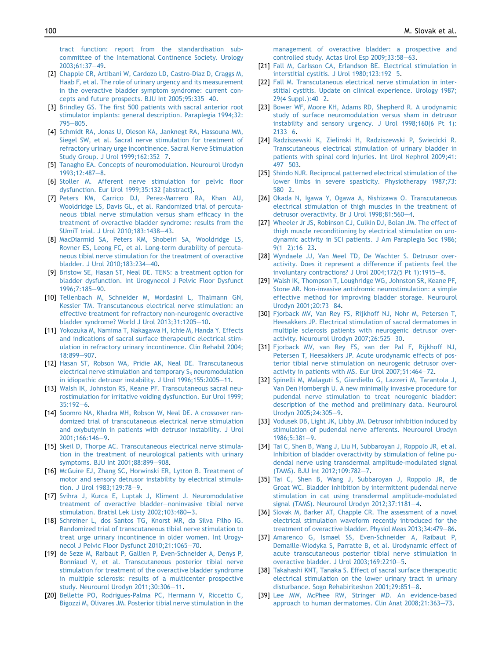<span id="page-8-0"></span>[tract function: report from the standardisation sub](http://refhub.elsevier.com/S2214-3882(15)00037-5/sref1)[committee of the International Continence Society. Urology](http://refhub.elsevier.com/S2214-3882(15)00037-5/sref1)  $2003:61:37-49.$  $2003:61:37-49.$ 

- [2] [Chapple CR, Artibani W, Cardozo LD, Castro-Diaz D, Craggs M,](http://refhub.elsevier.com/S2214-3882(15)00037-5/sref2) [Haab F, et al. The role of urinary urgency and its measurement](http://refhub.elsevier.com/S2214-3882(15)00037-5/sref2) [in the overactive bladder symptom syndrome: current con](http://refhub.elsevier.com/S2214-3882(15)00037-5/sref2)cepts and future prospects. BJU Int  $2005;95:335-40$ .
- [3] [Brindley GS. The first 500 patients with sacral anterior root](http://refhub.elsevier.com/S2214-3882(15)00037-5/sref3) [stimulator implants: general description. Paraplegia 1994;32:](http://refhub.elsevier.com/S2214-3882(15)00037-5/sref3) [795](http://refhub.elsevier.com/S2214-3882(15)00037-5/sref3)-[805](http://refhub.elsevier.com/S2214-3882(15)00037-5/sref3).
- [4] [Schmidt RA, Jonas U, Oleson KA, Janknegt RA, Hassouna MM,](http://refhub.elsevier.com/S2214-3882(15)00037-5/sref4) [Siegel SW, et al. Sacral nerve stimulation for treatment of](http://refhub.elsevier.com/S2214-3882(15)00037-5/sref4) [refractory urinary urge incontinence. Sacral Nerve Stimulation](http://refhub.elsevier.com/S2214-3882(15)00037-5/sref4) [Study Group. J Urol 1999;162:352](http://refhub.elsevier.com/S2214-3882(15)00037-5/sref4)-[7.](http://refhub.elsevier.com/S2214-3882(15)00037-5/sref4)
- [5] [Tanagho EA. Concepts of neuromodulation. Neurourol Urodyn](http://refhub.elsevier.com/S2214-3882(15)00037-5/sref5) [1993;12:487](http://refhub.elsevier.com/S2214-3882(15)00037-5/sref5)-[8.](http://refhub.elsevier.com/S2214-3882(15)00037-5/sref5)
- [6] [Stoller M. Afferent nerve stimulation for pelvic floor](http://refhub.elsevier.com/S2214-3882(15)00037-5/sref6) [dysfunction. Eur Urol 1999;35:132 \[abstract\].](http://refhub.elsevier.com/S2214-3882(15)00037-5/sref6)
- [7] [Peters KM, Carrico DJ, Perez-Marrero RA, Khan AU,](http://refhub.elsevier.com/S2214-3882(15)00037-5/sref7) [Wooldridge LS, Davis GL, et al. Randomized trial of percuta](http://refhub.elsevier.com/S2214-3882(15)00037-5/sref7)[neous tibial nerve stimulation versus sham efficacy in the](http://refhub.elsevier.com/S2214-3882(15)00037-5/sref7) [treatment of overactive bladder syndrome: results from the](http://refhub.elsevier.com/S2214-3882(15)00037-5/sref7) SUmiT trial. J Urol 2010:183:1438-[43.](http://refhub.elsevier.com/S2214-3882(15)00037-5/sref7)
- [8] [MacDiarmid SA, Peters KM, Shobeiri SA, Wooldridge LS,](http://refhub.elsevier.com/S2214-3882(15)00037-5/sref8) [Rovner ES, Leong FC, et al. Long-term durability of percuta](http://refhub.elsevier.com/S2214-3882(15)00037-5/sref8)[neous tibial nerve stimulation for the treatment of overactive](http://refhub.elsevier.com/S2214-3882(15)00037-5/sref8) bladder. J Urol 2010:183:234-[40](http://refhub.elsevier.com/S2214-3882(15)00037-5/sref8).
- [9] [Bristow SE, Hasan ST, Neal DE. TENS: a treatment option for](http://refhub.elsevier.com/S2214-3882(15)00037-5/sref9) [bladder dysfunction. Int Urogynecol J Pelvic Floor Dysfunct](http://refhub.elsevier.com/S2214-3882(15)00037-5/sref9) [1996;7:185](http://refhub.elsevier.com/S2214-3882(15)00037-5/sref9)-[90.](http://refhub.elsevier.com/S2214-3882(15)00037-5/sref9)
- [10] [Tellenbach M, Schneider M, Mordasini L, Thalmann GN,](http://refhub.elsevier.com/S2214-3882(15)00037-5/sref10) [Kessler TM. Transcutaneous electrical nerve stimulation: an](http://refhub.elsevier.com/S2214-3882(15)00037-5/sref10) [effective treatment for refractory non-neurogenic overactive](http://refhub.elsevier.com/S2214-3882(15)00037-5/sref10) [bladder syndrome? World J Urol 2013;31:1205](http://refhub.elsevier.com/S2214-3882(15)00037-5/sref10)-[10.](http://refhub.elsevier.com/S2214-3882(15)00037-5/sref10)
- [11] [Yokozuka M, Namima T, Nakagawa H, Ichie M, Handa Y. Effects](http://refhub.elsevier.com/S2214-3882(15)00037-5/sref11) [and indications of sacral surface therapeutic electrical stim](http://refhub.elsevier.com/S2214-3882(15)00037-5/sref11)[ulation in refractory urinary incontinence. Clin Rehabil 2004;](http://refhub.elsevier.com/S2214-3882(15)00037-5/sref11) [18:899](http://refhub.elsevier.com/S2214-3882(15)00037-5/sref11)-[907.](http://refhub.elsevier.com/S2214-3882(15)00037-5/sref11)
- [12] [Hasan ST, Robson WA, Pridie AK, Neal DE. Transcutaneous](http://refhub.elsevier.com/S2214-3882(15)00037-5/sref12) electrical nerve stimulation and temporary  $S_3$  [neuromodulation](http://refhub.elsevier.com/S2214-3882(15)00037-5/sref12) in idiopathic detrusor instability. J Urol  $1996:155:2005-11$ .
- [13] [Walsh IK, Johnston RS, Keane PF. Transcutaneous sacral neu](http://refhub.elsevier.com/S2214-3882(15)00037-5/sref13)[rostimulation for irritative voiding dysfunction. Eur Urol 1999;](http://refhub.elsevier.com/S2214-3882(15)00037-5/sref13)  $35:192-6.$  $35:192-6.$  $35:192-6.$
- [14] [Soomro NA, Khadra MH, Robson W, Neal DE. A crossover ran](http://refhub.elsevier.com/S2214-3882(15)00037-5/sref14)[domized trial of transcutaneous electrical nerve stimulation](http://refhub.elsevier.com/S2214-3882(15)00037-5/sref14) [and oxybutynin in patients with detrusor instability. J Urol](http://refhub.elsevier.com/S2214-3882(15)00037-5/sref14)  $2001:166:146-9.$  $2001:166:146-9.$  $2001:166:146-9.$
- [15] [Skeil D, Thorpe AC. Transcutaneous electrical nerve stimula](http://refhub.elsevier.com/S2214-3882(15)00037-5/sref15)[tion in the treatment of neurological patients with urinary](http://refhub.elsevier.com/S2214-3882(15)00037-5/sref15) [symptoms. BJU Int 2001;88:899](http://refhub.elsevier.com/S2214-3882(15)00037-5/sref15)-[908.](http://refhub.elsevier.com/S2214-3882(15)00037-5/sref15)
- [16] [McGuire EJ, Zhang SC, Horwinski ER, Lytton B. Treatment of](http://refhub.elsevier.com/S2214-3882(15)00037-5/sref16) [motor and sensory detrusor instability by electrical stimula](http://refhub.elsevier.com/S2214-3882(15)00037-5/sref16)[tion. J Urol 1983;129:78](http://refhub.elsevier.com/S2214-3882(15)00037-5/sref16)-[9.](http://refhub.elsevier.com/S2214-3882(15)00037-5/sref16)
- [17] [Svihra J, Kurca E, Luptak J, Kliment J. Neuromodulative](http://refhub.elsevier.com/S2214-3882(15)00037-5/sref17) [treatment of overactive bladder](http://refhub.elsevier.com/S2214-3882(15)00037-5/sref17)-[noninvasive tibial nerve](http://refhub.elsevier.com/S2214-3882(15)00037-5/sref17) [stimulation. Bratisl Lek Listy 2002;103:480](http://refhub.elsevier.com/S2214-3882(15)00037-5/sref17)-[3.](http://refhub.elsevier.com/S2214-3882(15)00037-5/sref17)
- [18] [Schreiner L, dos Santos TG, Knorst MR, da Silva Filho IG.](http://refhub.elsevier.com/S2214-3882(15)00037-5/sref18) [Randomized trial of transcutaneous tibial nerve stimulation to](http://refhub.elsevier.com/S2214-3882(15)00037-5/sref18) [treat urge urinary incontinence in older women. Int Urogy](http://refhub.elsevier.com/S2214-3882(15)00037-5/sref18)[necol J Pelvic Floor Dysfunct 2010;21:1065](http://refhub.elsevier.com/S2214-3882(15)00037-5/sref18)-[70.](http://refhub.elsevier.com/S2214-3882(15)00037-5/sref18)
- [19] [de Seze M, Raibaut P, Gallien P, Even-Schneider A, Denys P,](http://refhub.elsevier.com/S2214-3882(15)00037-5/sref19) [Bonniaud V, et al. Transcutaneous posterior tibial nerve](http://refhub.elsevier.com/S2214-3882(15)00037-5/sref19) [stimulation for treatment of the overactive bladder syndrome](http://refhub.elsevier.com/S2214-3882(15)00037-5/sref19) [in multiple sclerosis: results of a multicenter prospective](http://refhub.elsevier.com/S2214-3882(15)00037-5/sref19) [study. Neurourol Urodyn 2011;30:306](http://refhub.elsevier.com/S2214-3882(15)00037-5/sref19)-[11](http://refhub.elsevier.com/S2214-3882(15)00037-5/sref19).
- [20] [Bellette PO, Rodrigues-Palma PC, Hermann V, Riccetto C,](http://refhub.elsevier.com/S2214-3882(15)00037-5/sref20) [Bigozzi M, Olivares JM. Posterior tibial nerve stimulation in the](http://refhub.elsevier.com/S2214-3882(15)00037-5/sref20)

[management of overactive bladder: a prospective and](http://refhub.elsevier.com/S2214-3882(15)00037-5/sref20) controlled study. Actas Urol Esp  $2009;33:58-63$ .

- [21] [Fall M, Carlsson CA, Erlandson BE. Electrical stimulation in](http://refhub.elsevier.com/S2214-3882(15)00037-5/sref21) interstitial cystitis. J Urol  $1980;123:192-5$  $1980;123:192-5$ .
- [22] [Fall M. Transcutaneous electrical nerve stimulation in inter](http://refhub.elsevier.com/S2214-3882(15)00037-5/sref22)[stitial cystitis. Update on clinical experience. Urology 1987;](http://refhub.elsevier.com/S2214-3882(15)00037-5/sref22) [2](http://refhub.elsevier.com/S2214-3882(15)00037-5/sref22)9(4 Suppl.): 40-2.
- [23] [Bower WF, Moore KH, Adams RD, Shepherd R. A urodynamic](http://refhub.elsevier.com/S2214-3882(15)00037-5/sref23) [study of surface neuromodulation versus sham in detrusor](http://refhub.elsevier.com/S2214-3882(15)00037-5/sref23) [instability and sensory urgency. J Urol 1998;160\(6 Pt 1\):](http://refhub.elsevier.com/S2214-3882(15)00037-5/sref23)  $2133 - 6.$  $2133 - 6.$  $2133 - 6.$
- [24] [Radziszewski K, Zielinski H, Radziszewski P, Swiecicki R.](http://refhub.elsevier.com/S2214-3882(15)00037-5/sref24) [Transcutaneous electrical stimulation of urinary bladder in](http://refhub.elsevier.com/S2214-3882(15)00037-5/sref24) [patients with spinal cord injuries. Int Urol Nephrol 2009;41:](http://refhub.elsevier.com/S2214-3882(15)00037-5/sref24)  $497 - 503.$  $497 - 503.$  $497 - 503.$
- [25] [Shindo NJR. Reciprocal patterned electrical stimulation of the](http://refhub.elsevier.com/S2214-3882(15)00037-5/sref25) [lower limbs in severe spasticity. Physiotherapy 1987;73:](http://refhub.elsevier.com/S2214-3882(15)00037-5/sref25)  $580 - 2$  $580 - 2$  $580 - 2$
- [26] [Okada N, Igawa Y, Ogawa A, Nishizawa O. Transcutaneous](http://refhub.elsevier.com/S2214-3882(15)00037-5/sref26) [electrical stimulation of thigh muscles in the treatment of](http://refhub.elsevier.com/S2214-3882(15)00037-5/sref26) [detrusor overactivity. Br J Urol 1998;81:560](http://refhub.elsevier.com/S2214-3882(15)00037-5/sref26)-[4.](http://refhub.elsevier.com/S2214-3882(15)00037-5/sref26)
- [27] [Wheeler Jr JS, Robinson CJ, Culkin DJ, Bolan JM. The effect of](http://refhub.elsevier.com/S2214-3882(15)00037-5/sref27) [thigh muscle reconditioning by electrical stimulation on uro](http://refhub.elsevier.com/S2214-3882(15)00037-5/sref27)[dynamic activity in SCI patients. J Am Paraplegia Soc 1986;](http://refhub.elsevier.com/S2214-3882(15)00037-5/sref27)  $9(1-2):16-23.$  $9(1-2):16-23.$  $9(1-2):16-23.$  $9(1-2):16-23.$  $9(1-2):16-23.$  $9(1-2):16-23.$
- [28] [Wyndaele JJ, Van Meel TD, De Wachter S. Detrusor over](http://refhub.elsevier.com/S2214-3882(15)00037-5/sref28)[activity. Does it represent a difference if patients feel the](http://refhub.elsevier.com/S2214-3882(15)00037-5/sref28) [involuntary contractions? J Urol 2004;172\(5 Pt 1\):1915](http://refhub.elsevier.com/S2214-3882(15)00037-5/sref28)-[8](http://refhub.elsevier.com/S2214-3882(15)00037-5/sref28).
- [29] [Walsh IK, Thompson T, Loughridge WG, Johnston SR, Keane PF,](http://refhub.elsevier.com/S2214-3882(15)00037-5/sref29) [Stone AR. Non-invasive antidromic neurostimulation: a simple](http://refhub.elsevier.com/S2214-3882(15)00037-5/sref29) [effective method for improving bladder storage. Neurourol](http://refhub.elsevier.com/S2214-3882(15)00037-5/sref29) Urodyn 2001:20:73-[84](http://refhub.elsevier.com/S2214-3882(15)00037-5/sref29).
- [30] [Fjorback MV, Van Rey FS, Rijkhoff NJ, Nohr M, Petersen T,](http://refhub.elsevier.com/S2214-3882(15)00037-5/sref30) [Heesakkers JP. Electrical stimulation of sacral dermatomes in](http://refhub.elsevier.com/S2214-3882(15)00037-5/sref30) [multiple sclerosis patients with neurogenic detrusor over](http://refhub.elsevier.com/S2214-3882(15)00037-5/sref30)[activity. Neurourol Urodyn 2007;26:525](http://refhub.elsevier.com/S2214-3882(15)00037-5/sref30)-[30](http://refhub.elsevier.com/S2214-3882(15)00037-5/sref30).
- [31] [Fjorback MV, van Rey FS, van der Pal F, Rijkhoff NJ,](http://refhub.elsevier.com/S2214-3882(15)00037-5/sref31) [Petersen T, Heesakkers JP. Acute urodynamic effects of pos](http://refhub.elsevier.com/S2214-3882(15)00037-5/sref31)[terior tibial nerve stimulation on neurogenic detrusor over](http://refhub.elsevier.com/S2214-3882(15)00037-5/sref31)activity in patients with MS. Eur Urol  $2007;51:464-72$  $2007;51:464-72$ .
- [32] [Spinelli M, Malaguti S, Giardiello G, Lazzeri M, Tarantola J,](http://refhub.elsevier.com/S2214-3882(15)00037-5/sref32) [Van Den Hombergh U. A new minimally invasive procedure for](http://refhub.elsevier.com/S2214-3882(15)00037-5/sref32) [pudendal nerve stimulation to treat neurogenic bladder:](http://refhub.elsevier.com/S2214-3882(15)00037-5/sref32) [description of the method and preliminary data. Neurourol](http://refhub.elsevier.com/S2214-3882(15)00037-5/sref32) Urodyn 2005:24:305-[9](http://refhub.elsevier.com/S2214-3882(15)00037-5/sref32).
- [33] [Vodusek DB, Light JK, Libby JM. Detrusor inhibition induced by](http://refhub.elsevier.com/S2214-3882(15)00037-5/sref33) [stimulation of pudendal nerve afferents. Neurourol Urodyn](http://refhub.elsevier.com/S2214-3882(15)00037-5/sref33)  $1986:5:381-9.$  $1986:5:381-9.$
- [34] [Tai C, Shen B, Wang J, Liu H, Subbaroyan J, Roppolo JR, et al.](http://refhub.elsevier.com/S2214-3882(15)00037-5/sref34) [Inhibition of bladder overactivity by stimulation of feline pu](http://refhub.elsevier.com/S2214-3882(15)00037-5/sref34)[dendal nerve using transdermal amplitude-modulated signal](http://refhub.elsevier.com/S2214-3882(15)00037-5/sref34) [\(TAMS\). BJU Int 2012;109:782](http://refhub.elsevier.com/S2214-3882(15)00037-5/sref34)-[7.](http://refhub.elsevier.com/S2214-3882(15)00037-5/sref34)
- [35] [Tai C, Shen B, Wang J, Subbaroyan J, Roppolo JR, de](http://refhub.elsevier.com/S2214-3882(15)00037-5/sref35) [Groat WC. Bladder inhibition by intermittent pudendal nerve](http://refhub.elsevier.com/S2214-3882(15)00037-5/sref35) [stimulation in cat using transdermal amplitude-modulated](http://refhub.elsevier.com/S2214-3882(15)00037-5/sref35) [signal \(TAMS\). Neurourol Urodyn 2012;37:1181](http://refhub.elsevier.com/S2214-3882(15)00037-5/sref35)-[4.](http://refhub.elsevier.com/S2214-3882(15)00037-5/sref35)
- [36] [Slovak M, Barker AT, Chapple CR. The assessment of a novel](http://refhub.elsevier.com/S2214-3882(15)00037-5/sref36) [electrical stimulation waveform recently introduced for the](http://refhub.elsevier.com/S2214-3882(15)00037-5/sref36) [treatment of overactive bladder. Physiol Meas 2013;34:479](http://refhub.elsevier.com/S2214-3882(15)00037-5/sref36)-[86](http://refhub.elsevier.com/S2214-3882(15)00037-5/sref36).
- [37] [Amarenco G, Ismael SS, Even-Schneider A, Raibaut P,](http://refhub.elsevier.com/S2214-3882(15)00037-5/sref37) [Demaille-Wlodyka S, Parratte B, et al. Urodynamic effect of](http://refhub.elsevier.com/S2214-3882(15)00037-5/sref37) [acute transcutaneous posterior tibial nerve stimulation in](http://refhub.elsevier.com/S2214-3882(15)00037-5/sref37) [overactive bladder. J Urol 2003;169:2210](http://refhub.elsevier.com/S2214-3882(15)00037-5/sref37)-[5.](http://refhub.elsevier.com/S2214-3882(15)00037-5/sref37)
- [38] [Takahashi KNT, Tanaka S. Effect of sacral surface therapeutic](http://refhub.elsevier.com/S2214-3882(15)00037-5/sref38) [electrical stimulation on the lower urinary tract in urinary](http://refhub.elsevier.com/S2214-3882(15)00037-5/sref38) [disturbance. Sogo Rehabiriteshon 2001;29:851](http://refhub.elsevier.com/S2214-3882(15)00037-5/sref38)-[8.](http://refhub.elsevier.com/S2214-3882(15)00037-5/sref38)
- [39] [Lee MW, McPhee RW, Stringer MD. An evidence-based](http://refhub.elsevier.com/S2214-3882(15)00037-5/sref39) [approach to human dermatomes. Clin Anat 2008;21:363](http://refhub.elsevier.com/S2214-3882(15)00037-5/sref39)-[73](http://refhub.elsevier.com/S2214-3882(15)00037-5/sref39).